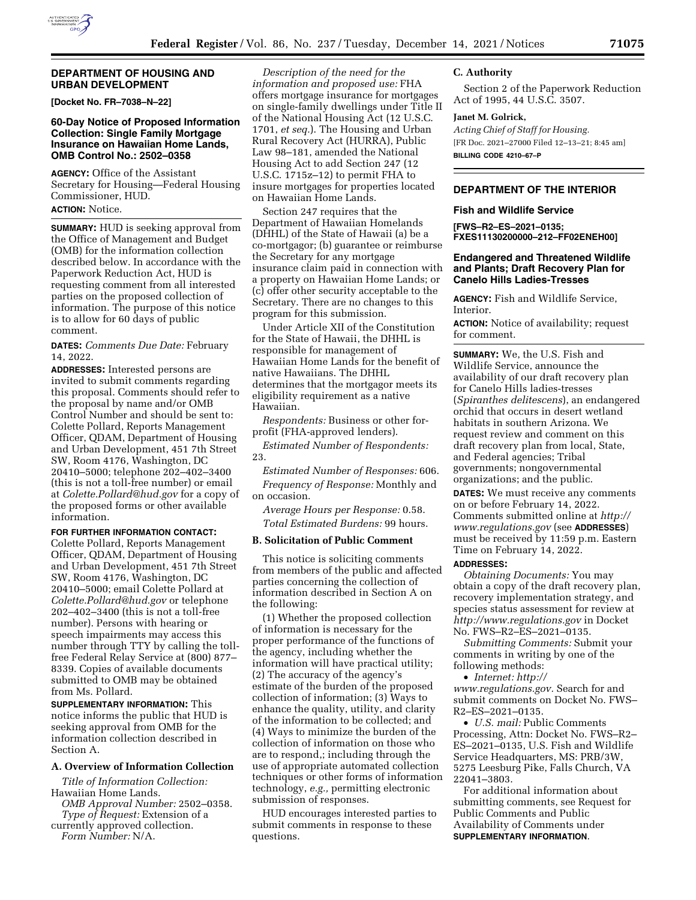

### **DEPARTMENT OF HOUSING AND URBAN DEVELOPMENT**

**[Docket No. FR–7038–N–22]** 

# **60-Day Notice of Proposed Information Collection: Single Family Mortgage Insurance on Hawaiian Home Lands, OMB Control No.: 2502–0358**

**AGENCY:** Office of the Assistant Secretary for Housing—Federal Housing Commissioner, HUD. **ACTION:** Notice.

**SUMMARY:** HUD is seeking approval from the Office of Management and Budget (OMB) for the information collection described below. In accordance with the Paperwork Reduction Act, HUD is requesting comment from all interested parties on the proposed collection of information. The purpose of this notice is to allow for 60 days of public comment.

# **DATES:** *Comments Due Date:* February 14, 2022.

**ADDRESSES:** Interested persons are invited to submit comments regarding this proposal. Comments should refer to the proposal by name and/or OMB Control Number and should be sent to: Colette Pollard, Reports Management Officer, QDAM, Department of Housing and Urban Development, 451 7th Street SW, Room 4176, Washington, DC 20410–5000; telephone 202–402–3400 (this is not a toll-free number) or email at *[Colette.Pollard@hud.gov](mailto:Colette.Pollard@hud.gov)* for a copy of the proposed forms or other available information.

# **FOR FURTHER INFORMATION CONTACT:**

Colette Pollard, Reports Management Officer, QDAM, Department of Housing and Urban Development, 451 7th Street SW, Room 4176, Washington, DC 20410–5000; email Colette Pollard at *[Colette.Pollard@hud.gov](mailto:Colette.Pollard@hud.gov)* or telephone 202–402–3400 (this is not a toll-free number). Persons with hearing or speech impairments may access this number through TTY by calling the tollfree Federal Relay Service at (800) 877– 8339. Copies of available documents submitted to OMB may be obtained from Ms. Pollard.

**SUPPLEMENTARY INFORMATION:** This notice informs the public that HUD is seeking approval from OMB for the information collection described in Section A.

# **A. Overview of Information Collection**

*Title of Information Collection:*  Hawaiian Home Lands.

*OMB Approval Number:* 2502–0358. *Type of Request:* Extension of a currently approved collection.

*Form Number:* N/A.

*Description of the need for the information and proposed use:* FHA offers mortgage insurance for mortgages on single-family dwellings under Title II of the National Housing Act (12 U.S.C. 1701, *et seq.*). The Housing and Urban Rural Recovery Act (HURRA), Public Law 98–181, amended the National Housing Act to add Section 247 (12 U.S.C. 1715z–12) to permit FHA to insure mortgages for properties located on Hawaiian Home Lands.

Section 247 requires that the Department of Hawaiian Homelands (DHHL) of the State of Hawaii (a) be a co-mortgagor; (b) guarantee or reimburse the Secretary for any mortgage insurance claim paid in connection with a property on Hawaiian Home Lands; or (c) offer other security acceptable to the Secretary. There are no changes to this program for this submission.

Under Article XII of the Constitution for the State of Hawaii, the DHHL is responsible for management of Hawaiian Home Lands for the benefit of native Hawaiians. The DHHL determines that the mortgagor meets its eligibility requirement as a native Hawaiian.

*Respondents:* Business or other forprofit (FHA-approved lenders).

*Estimated Number of Respondents:*  23.

*Estimated Number of Responses:* 606. *Frequency of Response:* Monthly and on occasion.

*Average Hours per Response:* 0.58. *Total Estimated Burdens:* 99 hours.

#### **B. Solicitation of Public Comment**

This notice is soliciting comments from members of the public and affected parties concerning the collection of information described in Section A on the following:

(1) Whether the proposed collection of information is necessary for the proper performance of the functions of the agency, including whether the information will have practical utility; (2) The accuracy of the agency's estimate of the burden of the proposed collection of information; (3) Ways to enhance the quality, utility, and clarity of the information to be collected; and (4) Ways to minimize the burden of the collection of information on those who are to respond,; including through the use of appropriate automated collection techniques or other forms of information technology, *e.g.,* permitting electronic submission of responses.

HUD encourages interested parties to submit comments in response to these questions.

# **C. Authority**

Section 2 of the Paperwork Reduction Act of 1995, 44 U.S.C. 3507.

# **Janet M. Golrick,**

*Acting Chief of Staff for Housing.*  [FR Doc. 2021–27000 Filed 12–13–21; 8:45 am] **BILLING CODE 4210–67–P** 

# **DEPARTMENT OF THE INTERIOR**

#### **Fish and Wildlife Service**

**[FWS–R2–ES–2021–0135; FXES11130200000–212–FF02ENEH00]** 

# **Endangered and Threatened Wildlife and Plants; Draft Recovery Plan for Canelo Hills Ladies-Tresses**

**AGENCY:** Fish and Wildlife Service, Interior.

**ACTION:** Notice of availability; request for comment.

**SUMMARY:** We, the U.S. Fish and Wildlife Service, announce the availability of our draft recovery plan for Canelo Hills ladies-tresses (*Spiranthes delitescens*), an endangered orchid that occurs in desert wetland habitats in southern Arizona. We request review and comment on this draft recovery plan from local, State, and Federal agencies; Tribal governments; nongovernmental organizations; and the public.

**DATES:** We must receive any comments on or before February 14, 2022. Comments submitted online at *[http://](http://www.regulations.gov) [www.regulations.gov](http://www.regulations.gov)* (see **ADDRESSES**) must be received by 11:59 p.m. Eastern Time on February 14, 2022.

# **ADDRESSES:**

*Obtaining Documents:* You may obtain a copy of the draft recovery plan, recovery implementation strategy, and species status assessment for review at *<http://www.regulations.gov>* in Docket No. FWS–R2–ES–2021–0135.

*Submitting Comments:* Submit your comments in writing by one of the following methods:

• *Internet: [http://](http://www.regulations.gov)*

*[www.regulations.gov.](http://www.regulations.gov)* Search for and submit comments on Docket No. FWS– R2–ES–2021–0135.

• *U.S. mail:* Public Comments Processing, Attn: Docket No. FWS–R2– ES–2021–0135, U.S. Fish and Wildlife Service Headquarters, MS: PRB/3W, 5275 Leesburg Pike, Falls Church, VA 22041–3803.

For additional information about submitting comments, see Request for Public Comments and Public Availability of Comments under **SUPPLEMENTARY INFORMATION**.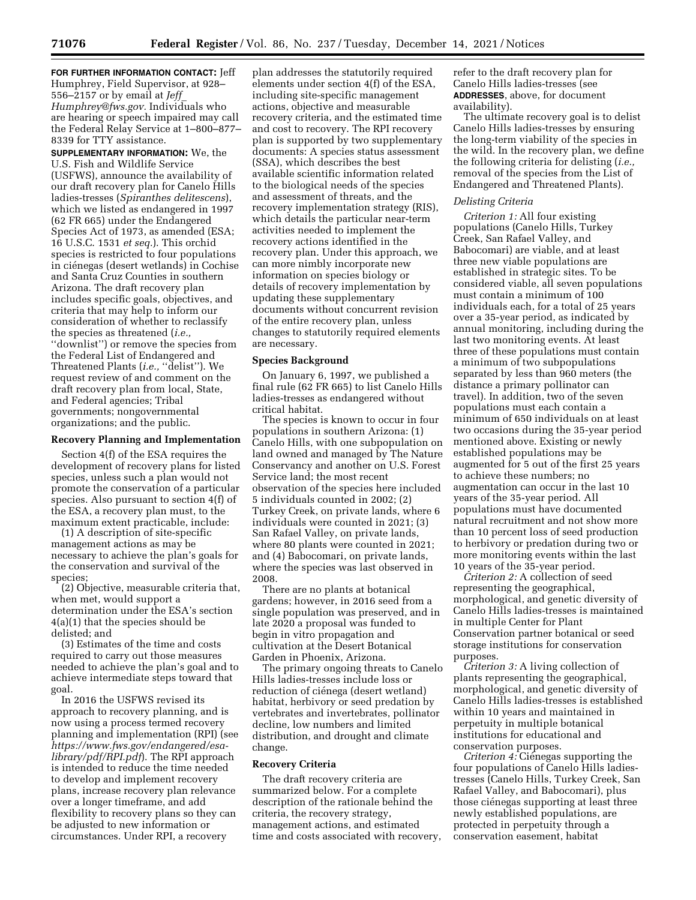**FOR FURTHER INFORMATION CONTACT:** Jeff Humphrey, Field Supervisor, at 928– 556–2157 or by email at *[Jeff](mailto:Jeff_Humphrey@fws.gov)*\_ *[Humphrey@fws.gov.](mailto:Jeff_Humphrey@fws.gov)* Individuals who are hearing or speech impaired may call the Federal Relay Service at 1–800–877– 8339 for TTY assistance.

**SUPPLEMENTARY INFORMATION:** We, the U.S. Fish and Wildlife Service (USFWS), announce the availability of our draft recovery plan for Canelo Hills ladies-tresses (*Spiranthes delitescens*), which we listed as endangered in 1997 (62 FR 665) under the Endangered Species Act of 1973, as amended (ESA; 16 U.S.C. 1531 *et seq.*). This orchid species is restricted to four populations in ciénegas (desert wetlands) in Cochise and Santa Cruz Counties in southern Arizona. The draft recovery plan includes specific goals, objectives, and criteria that may help to inform our consideration of whether to reclassify the species as threatened (*i.e.,*  ''downlist'') or remove the species from the Federal List of Endangered and Threatened Plants (*i.e.*, "delist"). We request review of and comment on the draft recovery plan from local, State, and Federal agencies; Tribal governments; nongovernmental organizations; and the public.

#### **Recovery Planning and Implementation**

Section 4(f) of the ESA requires the development of recovery plans for listed species, unless such a plan would not promote the conservation of a particular species. Also pursuant to section 4(f) of the ESA, a recovery plan must, to the maximum extent practicable, include:

(1) A description of site-specific management actions as may be necessary to achieve the plan's goals for the conservation and survival of the species;

(2) Objective, measurable criteria that, when met, would support a determination under the ESA's section 4(a)(1) that the species should be delisted; and

(3) Estimates of the time and costs required to carry out those measures needed to achieve the plan's goal and to achieve intermediate steps toward that goal.

In 2016 the USFWS revised its approach to recovery planning, and is now using a process termed recovery planning and implementation (RPI) (see *[https://www.fws.gov/endangered/esa](https://www.fws.gov/endangered/esa-library/pdf/RPI.pdf)[library/pdf/RPI.pdf](https://www.fws.gov/endangered/esa-library/pdf/RPI.pdf)*). The RPI approach is intended to reduce the time needed to develop and implement recovery plans, increase recovery plan relevance over a longer timeframe, and add flexibility to recovery plans so they can be adjusted to new information or circumstances. Under RPI, a recovery

plan addresses the statutorily required elements under section 4(f) of the ESA, including site-specific management actions, objective and measurable recovery criteria, and the estimated time and cost to recovery. The RPI recovery plan is supported by two supplementary documents: A species status assessment (SSA), which describes the best available scientific information related to the biological needs of the species and assessment of threats, and the recovery implementation strategy (RIS), which details the particular near-term activities needed to implement the recovery actions identified in the recovery plan. Under this approach, we can more nimbly incorporate new information on species biology or details of recovery implementation by updating these supplementary documents without concurrent revision of the entire recovery plan, unless changes to statutorily required elements are necessary.

# **Species Background**

On January 6, 1997, we published a final rule (62 FR 665) to list Canelo Hills ladies-tresses as endangered without critical habitat.

The species is known to occur in four populations in southern Arizona: (1) Canelo Hills, with one subpopulation on land owned and managed by The Nature Conservancy and another on U.S. Forest Service land; the most recent observation of the species here included 5 individuals counted in 2002; (2) Turkey Creek, on private lands, where 6 individuals were counted in 2021; (3) San Rafael Valley, on private lands, where 80 plants were counted in 2021; and (4) Babocomari, on private lands, where the species was last observed in 2008.

There are no plants at botanical gardens; however, in 2016 seed from a single population was preserved, and in late 2020 a proposal was funded to begin in vitro propagation and cultivation at the Desert Botanical Garden in Phoenix, Arizona.

The primary ongoing threats to Canelo Hills ladies-tresses include loss or reduction of ciénega (desert wetland) habitat, herbivory or seed predation by vertebrates and invertebrates, pollinator decline, low numbers and limited distribution, and drought and climate change.

### **Recovery Criteria**

The draft recovery criteria are summarized below. For a complete description of the rationale behind the criteria, the recovery strategy, management actions, and estimated time and costs associated with recovery, refer to the draft recovery plan for Canelo Hills ladies-tresses (see **ADDRESSES**, above, for document availability).

The ultimate recovery goal is to delist Canelo Hills ladies-tresses by ensuring the long-term viability of the species in the wild. In the recovery plan, we define the following criteria for delisting (*i.e.,*  removal of the species from the List of Endangered and Threatened Plants).

### *Delisting Criteria*

*Criterion 1:* All four existing populations (Canelo Hills, Turkey Creek, San Rafael Valley, and Babocomari) are viable, and at least three new viable populations are established in strategic sites. To be considered viable, all seven populations must contain a minimum of 100 individuals each, for a total of 25 years over a 35-year period, as indicated by annual monitoring, including during the last two monitoring events. At least three of these populations must contain a minimum of two subpopulations separated by less than 960 meters (the distance a primary pollinator can travel). In addition, two of the seven populations must each contain a minimum of 650 individuals on at least two occasions during the 35-year period mentioned above. Existing or newly established populations may be augmented for 5 out of the first 25 years to achieve these numbers; no augmentation can occur in the last 10 years of the 35-year period. All populations must have documented natural recruitment and not show more than 10 percent loss of seed production to herbivory or predation during two or more monitoring events within the last 10 years of the 35-year period.

*Criterion 2:* A collection of seed representing the geographical, morphological, and genetic diversity of Canelo Hills ladies-tresses is maintained in multiple Center for Plant Conservation partner botanical or seed storage institutions for conservation purposes.

*Criterion 3:* A living collection of plants representing the geographical, morphological, and genetic diversity of Canelo Hills ladies-tresses is established within 10 years and maintained in perpetuity in multiple botanical institutions for educational and conservation purposes.

*Criterion 4:* Ciénegas supporting the four populations of Canelo Hills ladiestresses (Canelo Hills, Turkey Creek, San Rafael Valley, and Babocomari), plus those ciénegas supporting at least three newly established populations, are protected in perpetuity through a conservation easement, habitat